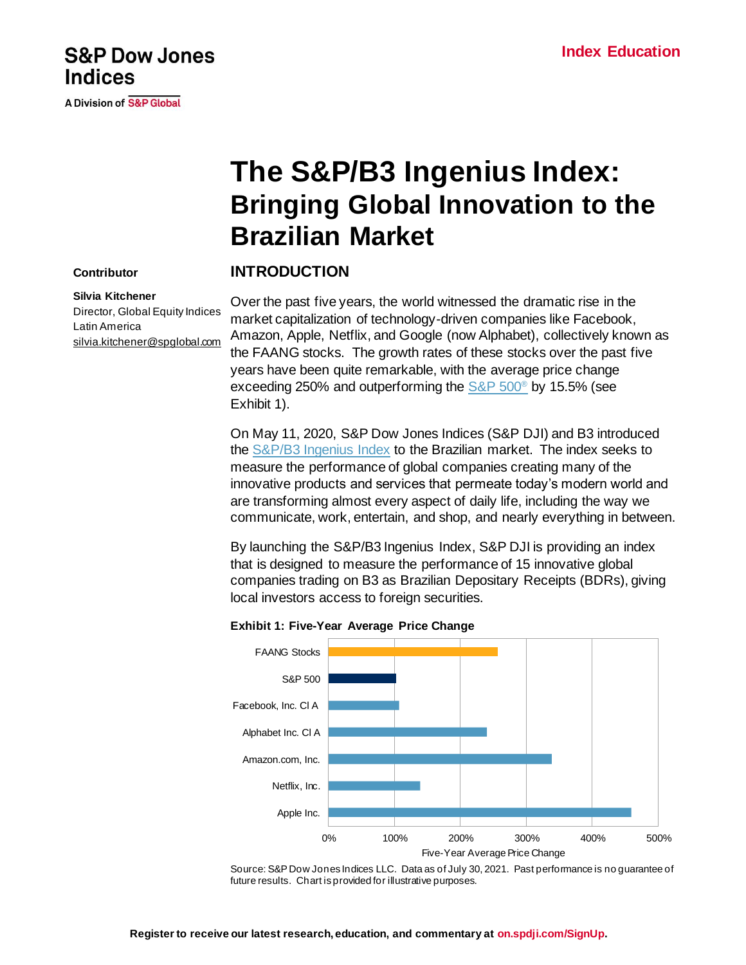## **S&P Dow Jones Indices**

**A Division of S&P Global** 

# **The S&P/B3 Ingenius Index: Bringing Global Innovation to the Brazilian Market**

#### **Contributor**

#### **INTRODUCTION**

#### **Silvia Kitchener**

Director, Global Equity Indices Latin America [silvia.kitchener@spglobal.com](mailto:silvia.kitchener@spglobal.com) Over the past five years, the world witnessed the dramatic rise in the market capitalization of technology-driven companies like Facebook, Amazon, Apple, Netflix, and Google (now Alphabet), collectively known as the FAANG stocks. The growth rates of these stocks over the past five years have been quite remarkable, with the average price change exceeding 250% and outperforming the  $S\&P 500^{\circ}$  by 15.5% (see Exhibit 1).

On May 11, 2020, S&P Dow Jones Indices (S&P DJI) and B3 introduced the [S&P/B3 Ingenius Index](https://spglobal.com/spdji/en/indices/equity/sp-b3-ingenius-index/?utm_source=pdf_education) to the Brazilian market. The index seeks to measure the performance of global companies creating many of the innovative products and services that permeate today's modern world and are transforming almost every aspect of daily life, including the way we communicate, work, entertain, and shop, and nearly everything in between.

By launching the S&P/B3 Ingenius Index, S&P DJI is providing an index that is designed to measure the performance of 15 innovative global companies trading on B3 as Brazilian Depositary Receipts (BDRs), giving local investors access to foreign securities.

#### **Exhibit 1: Five-Year Average Price Change**



Source: S&P Dow Jones Indices LLC. Data as of July 30, 2021. Past performance is no guarantee of future results. Chart is provided for illustrative purposes.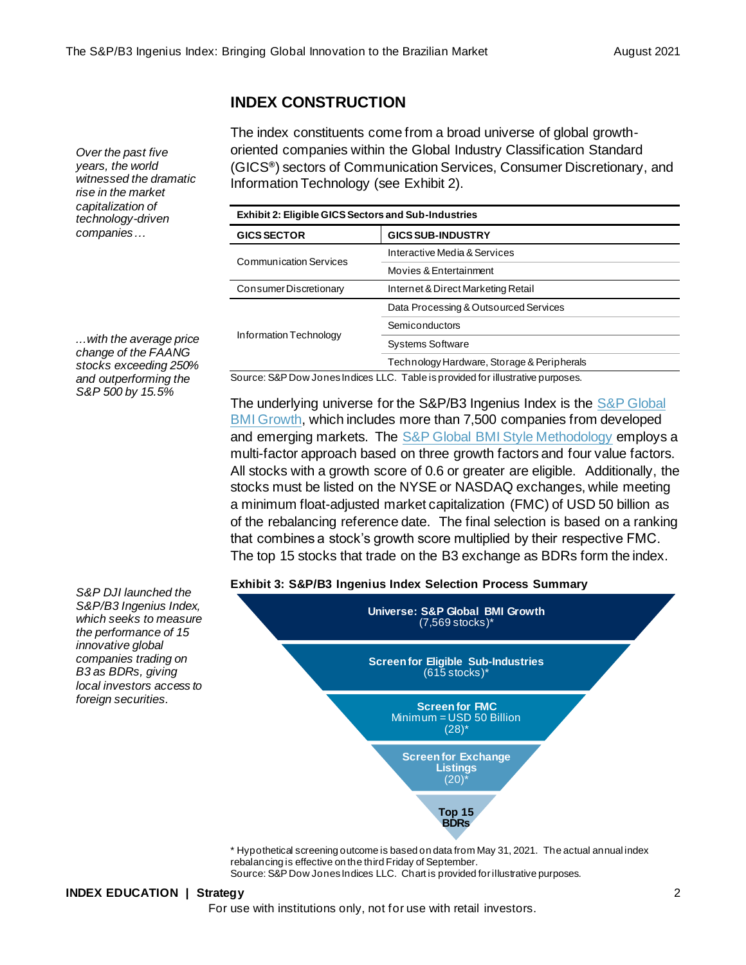### **INDEX CONSTRUCTION**

The index constituents come from a broad universe of global growthoriented companies within the Global Industry Classification Standard (GICS**®** ) sectors of Communication Services, Consumer Discretionary, and Information Technology (see Exhibit 2).

| <b>Exhibit 2: Eligible GICS Sectors and Sub-Industries</b> |                                            |  |  |
|------------------------------------------------------------|--------------------------------------------|--|--|
| <b>GICS SECTOR</b>                                         | <b>GICS SUB-INDUSTRY</b>                   |  |  |
| <b>Communication Services</b>                              | Interactive Media & Services               |  |  |
|                                                            | Movies & Entertainment                     |  |  |
| Consumer Discretionary                                     | Internet & Direct Marketing Retail         |  |  |
| Information Technology                                     | Data Processing & Outsourced Services      |  |  |
|                                                            | Semiconductors                             |  |  |
|                                                            | <b>Systems Software</b>                    |  |  |
|                                                            | Technology Hardware, Storage & Peripherals |  |  |

*...with the average price change of the FAANG stocks exceeding 250% and outperforming the S&P 500 by 15.5%*

*S&P DJI launched the S&P/B3 Ingenius Index, which seeks to measure the performance of 15 innovative global companies trading on B3 as BDRs, giving local investors access to foreign securities.*

*Over the past five years, the world witnessed the dramatic rise in the market capitalization of technology-driven companies…* 

Source: S&P Dow Jones Indices LLC. Table is provided for illustrative purposes.

The underlying universe for the S&P/B3 Ingenius Index is the [S&P Global](https://www.spglobal.com/spdji/en/indices/equity/sp-global-bmi-growth/?utm_source=pdf_education)  [BMI Growth,](https://www.spglobal.com/spdji/en/indices/equity/sp-global-bmi-growth/?utm_source=pdf_education) which includes more than 7,500 companies from developed and emerging markets. The [S&P Global BMI Style Methodology](https://www.spglobal.com/spdji/en/documents/methodologies/methodology-sp-global-bmi-sp-ifci-indices.pdf?utm_source=pdf_education) employs a multi-factor approach based on three growth factors and four value factors. All stocks with a growth score of 0.6 or greater are eligible. Additionally, the stocks must be listed on the NYSE or NASDAQ exchanges, while meeting a minimum float-adjusted market capitalization (FMC) of USD 50 billion as of the rebalancing reference date. The final selection is based on a ranking that combines a stock's growth score multiplied by their respective FMC. The top 15 stocks that trade on the B3 exchange as BDRs form the index.

#### **Exhibit 3: S&P/B3 Ingenius Index Selection Process Summary**



\* Hypothetical screening outcome is based on data from May 31, 2021. The actual annual index rebalancing is effective on the third Friday of September. Source: S&P Dow Jones Indices LLC. Chart is provided for illustrative purposes.

#### **INDEX EDUCATION | Strategy** 2

For use with institutions only, not for use with retail investors.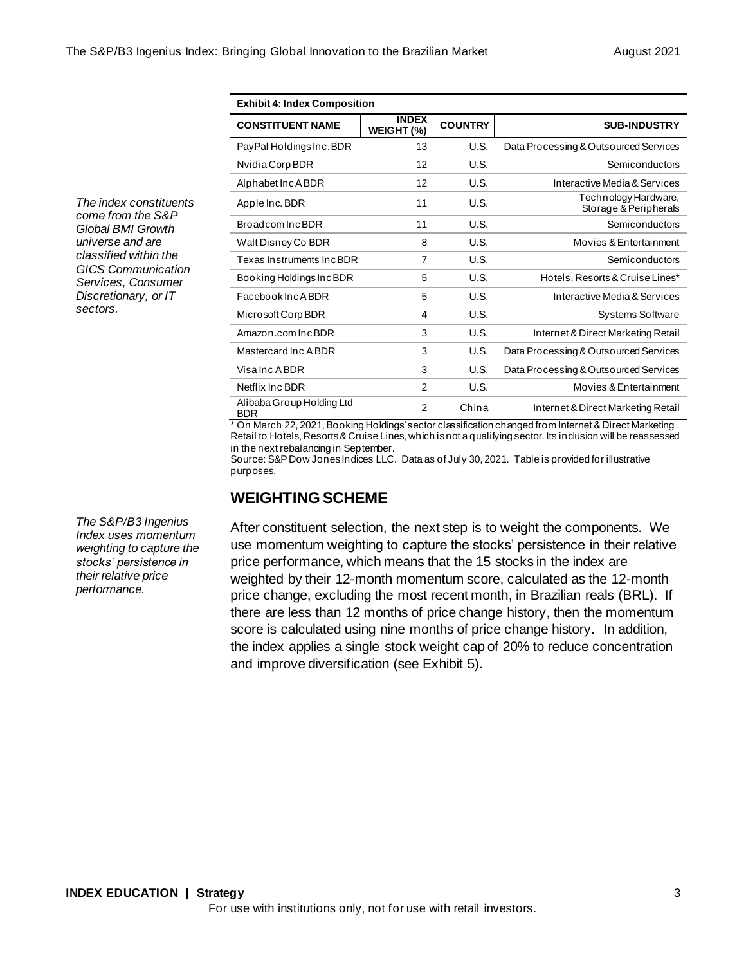| <b>Exhibit 4: Index Composition</b>     |                            |                |                                               |  |
|-----------------------------------------|----------------------------|----------------|-----------------------------------------------|--|
| <b>CONSTITUENT NAME</b>                 | <b>INDEX</b><br>WEIGHT (%) | <b>COUNTRY</b> | <b>SUB-INDUSTRY</b>                           |  |
| PayPal Holdings Inc. BDR                | 13                         | U.S.           | Data Processing & Outsourced Services         |  |
| Nvidia Corp BDR                         | 12                         | U.S.           | Semiconductors                                |  |
| Alphabet Inc A BDR                      | 12                         | U.S.           | Interactive Media & Services                  |  |
| Apple Inc. BDR                          | 11                         | U.S.           | Technology Hardware,<br>Storage & Peripherals |  |
| Broadcom IncBDR                         | 11                         | U.S.           | Semiconductors                                |  |
| Walt Disney Co BDR                      | 8                          | U.S.           | Movies & Entertainment                        |  |
| Texas Instruments IncBDR                | 7                          | U.S.           | Semiconductors                                |  |
| Booking Holdings Inc BDR                | 5                          | U.S.           | Hotels, Resorts & Cruise Lines*               |  |
| <b>FacebookIncABDR</b>                  | 5                          | U.S.           | Interactive Media & Services                  |  |
| Microsoft Corp BDR                      | 4                          | U.S.           | <b>Systems Software</b>                       |  |
| Amazon.com IncBDR                       | 3                          | U.S.           | Internet & Direct Marketing Retail            |  |
| Mastercard Inc A BDR                    | 3                          | U.S.           | Data Processing & Outsourced Services         |  |
| Visa Inc A BDR                          | 3                          | U.S.           | Data Processing & Outsourced Services         |  |
| Netflix Inc BDR                         | $\overline{2}$             | U.S.           | Movies & Entertainment                        |  |
| Alibaba Group Holding Ltd<br><b>BDR</b> | $\overline{2}$             | China          | Internet & Direct Marketing Retail            |  |

\* On March 22, 2021, Booking Holdings' sector classification changed from Internet & Direct Marketing Retail to Hotels, Resorts & Cruise Lines, which is not a qualifying sector. Its inclusion will be reassessed in the next rebalancing in September.

Source: S&P Dow Jones Indices LLC. Data as of July 30, 2021. Table is provided for illustrative purposes.

### **WEIGHTING SCHEME**

After constituent selection, the next step is to weight the components. We use momentum weighting to capture the stocks' persistence in their relative price performance, which means that the 15 stocks in the index are weighted by their 12-month momentum score, calculated as the 12-month price change, excluding the most recent month, in Brazilian reals (BRL). If there are less than 12 months of price change history, then the momentum score is calculated using nine months of price change history. In addition, the index applies a single stock weight cap of 20% to reduce concentration and improve diversification (see Exhibit 5).

*The index constituents come from the S&P Global BMI Growth universe and are classified within the GICS Communication Services, Consumer Discretionary, or IT sectors.*

*The S&P/B3 Ingenius Index uses momentum weighting to capture the stocks' persistence in their relative price performance.*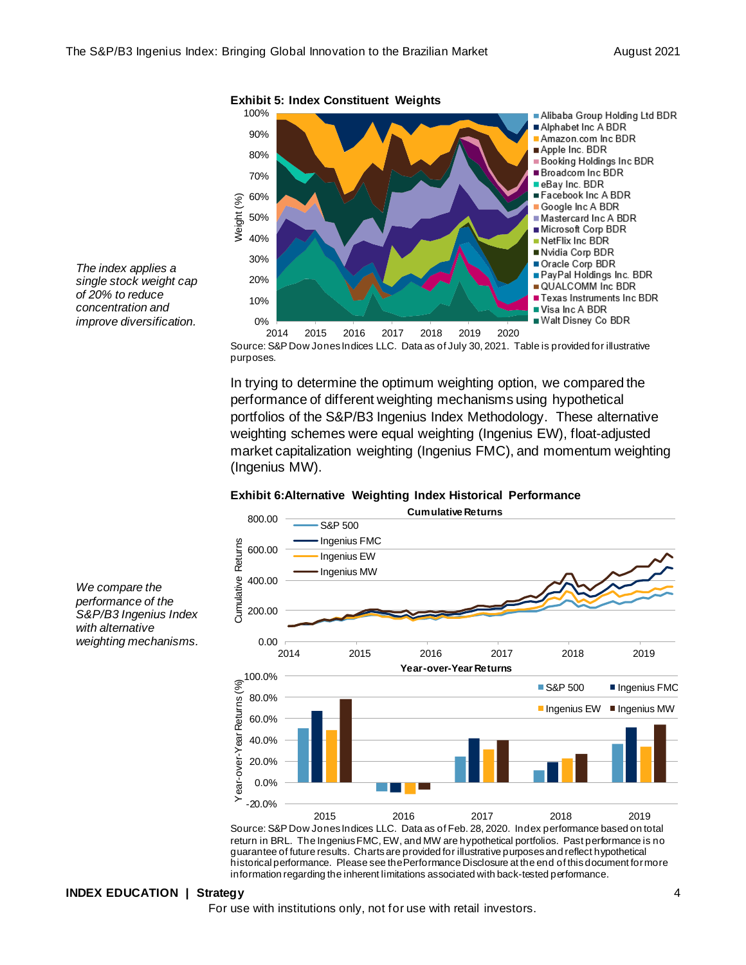

*The index applies a single stock weight cap of 20% to reduce concentration and improve diversification.*

> Source: S&P Dow Jones Indices LLC. Data as of July 30, 2021. Table is provided for illustrative purposes.

In trying to determine the optimum weighting option, we compared the performance of different weighting mechanisms using hypothetical portfolios of the S&P/B3 Ingenius Index Methodology. These alternative weighting schemes were equal weighting (Ingenius EW), float-adjusted market capitalization weighting (Ingenius FMC), and momentum weighting (Ingenius MW).

#### **Exhibit 6:Alternative Weighting Index Historical Performance**



Source: S&P Dow Jones Indices LLC. Data as of Feb. 28, 2020. Index performance based on total return in BRL. The Ingenius FMC, EW, and MW are hypothetical portfolios. Past performance is no guarantee of future results. Chartsare provided for illustrative purposes and reflect hypothetical historical performance. Please see the Performance Disclosure at the end of this document for more information regarding the inherent limitations associated with back-tested performance.

*We compare the performance of the S&P/B3 Ingenius Index with alternative weighting mechanisms.*

#### **INDEX EDUCATION | Strategy** 4

For use with institutions only, not for use with retail investors.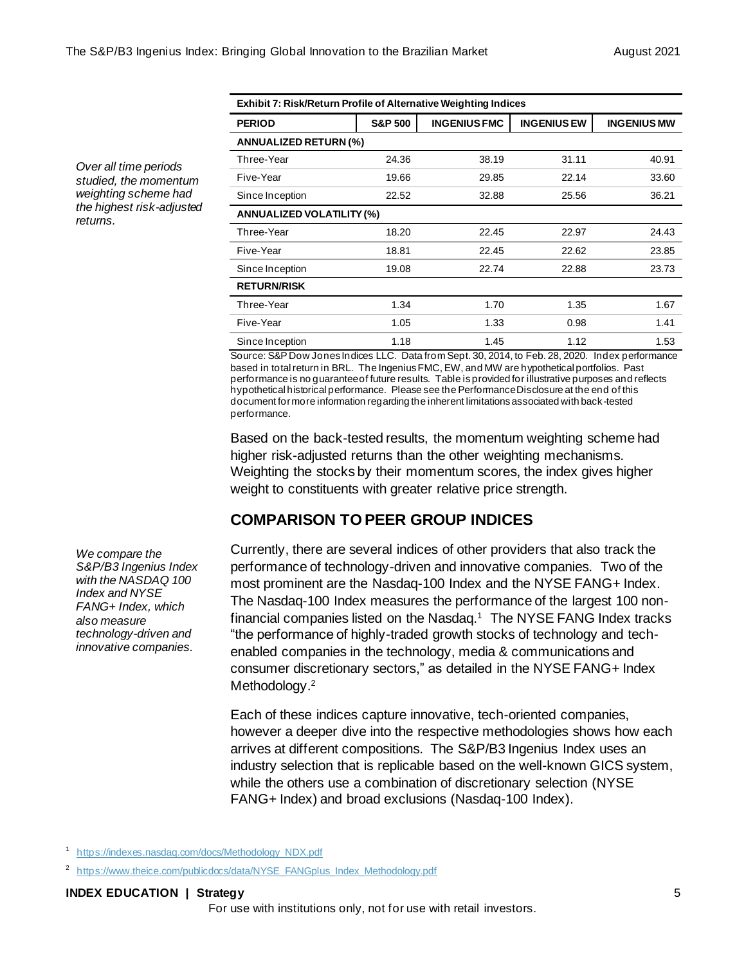*Over all time periods studied, the momentum weighting scheme had the highest risk-adjusted returns.* 

| <b>Exhibit 7: Risk/Return Profile of Alternative Weighting Indices</b> |                    |                     |                    |                    |  |
|------------------------------------------------------------------------|--------------------|---------------------|--------------------|--------------------|--|
| <b>PERIOD</b>                                                          | <b>S&amp;P 500</b> | <b>INGENIUS FMC</b> | <b>INGENIUS EW</b> | <b>INGENIUS MW</b> |  |
| ANNUALIZED RETURN (%)                                                  |                    |                     |                    |                    |  |
| Three-Year                                                             | 24.36              | 38.19               | 31.11              | 40.91              |  |
| Five-Year                                                              | 19.66              | 29.85               | 22.14              | 33.60              |  |
| Since Inception                                                        | 22.52              | 32.88               | 25.56              | 36.21              |  |
| <b>ANNUALIZED VOLATILITY (%)</b>                                       |                    |                     |                    |                    |  |
| Three-Year                                                             | 18.20              | 22.45               | 22.97              | 24.43              |  |
| Five-Year                                                              | 18.81              | 22.45               | 22.62              | 23.85              |  |
| Since Inception                                                        | 19.08              | 22.74               | 22.88              | 23.73              |  |
| <b>RETURN/RISK</b>                                                     |                    |                     |                    |                    |  |
| Three-Year                                                             | 1.34               | 1.70                | 1.35               | 1.67               |  |
| Five-Year                                                              | 1.05               | 1.33                | 0.98               | 1.41               |  |
| Since Inception                                                        | 1.18               | 1.45                | 1.12               | 1.53               |  |

Source: S&P Dow Jones Indices LLC. Data from Sept. 30, 2014, to Feb. 28, 2020. Index performance based in total return in BRL. The Ingenius FMC, EW, and MW are hypothetical portfolios. Past performance is no guarantee of future results. Table is provided for illustrative purposes and reflects hypothetical historical performance. Please see the Performance Disclosure at the end of this document for more information regarding the inherent limitations associated with back-tested performance.

Based on the back-tested results, the momentum weighting scheme had higher risk-adjusted returns than the other weighting mechanisms. Weighting the stocks by their momentum scores, the index gives higher weight to constituents with greater relative price strength.

### **COMPARISON TO PEER GROUP INDICES**

Currently, there are several indices of other providers that also track the performance of technology-driven and innovative companies. Two of the most prominent are the Nasdaq-100 Index and the NYSE FANG+ Index. The Nasdaq-100 Index measures the performance of the largest 100 nonfinancial companies listed on the Nasdaq.<sup>1</sup> The NYSE FANG Index tracks "the performance of highly-traded growth stocks of technology and techenabled companies in the technology, media & communications and consumer discretionary sectors," as detailed in the NYSE FANG+ Index Methodology.<sup>2</sup>

Each of these indices capture innovative, tech-oriented companies, however a deeper dive into the respective methodologies shows how each arrives at different compositions. The S&P/B3 Ingenius Index uses an industry selection that is replicable based on the well-known GICS system, while the others use a combination of discretionary selection (NYSE FANG+ Index) and broad exclusions (Nasdaq-100 Index).

1 [https://indexes.nasdaq.com/docs/Methodology\\_NDX.pdf](https://indexes.nasdaq.com/docs/Methodology_NDX.pdf)

*We compare the S&P/B3 Ingenius Index with the NASDAQ 100 Index and NYSE FANG+ Index, which also measure technology-driven and innovative companies.* 

<sup>&</sup>lt;sup>2</sup> [https://www.theice.com/publicdocs/data/NYSE\\_FANGplus\\_Index\\_Methodology.pdf](https://www.theice.com/publicdocs/data/NYSE_FANGplus_Index_Methodology.pdf)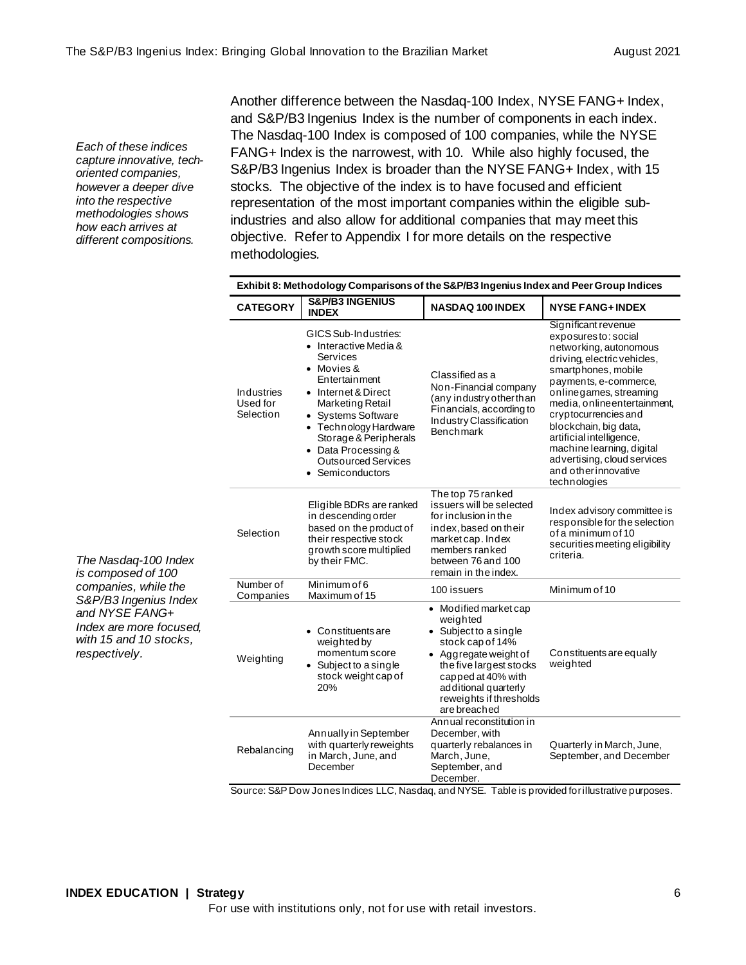*Each of these indices capture innovative, techoriented companies, however a deeper dive into the respective methodologies shows how each arrives at different compositions.*

Another difference between the Nasdaq-100 Index, NYSE FANG+ Index, and S&P/B3 Ingenius Index is the number of components in each index. The Nasdaq-100 Index is composed of 100 companies, while the NYSE FANG+ Index is the narrowest, with 10. While also highly focused, the S&P/B3 Ingenius Index is broader than the NYSE FANG+ Index, with 15 stocks. The objective of the index is to have focused and efficient representation of the most important companies within the eligible subindustries and also allow for additional companies that may meet this objective. Refer to Appendix I for more details on the respective methodologies*.*

|                                                                                                                                                                                     | Exhibit 8: Methodology Comparisons of the S&P/B3 Ingenius Index and Peer Group Indices |                                                                                                                                                                                                                                                                                             |                                                                                                                                                                                                                             |                                                                                                                                                                                                                                                                                                                                                                                                 |
|-------------------------------------------------------------------------------------------------------------------------------------------------------------------------------------|----------------------------------------------------------------------------------------|---------------------------------------------------------------------------------------------------------------------------------------------------------------------------------------------------------------------------------------------------------------------------------------------|-----------------------------------------------------------------------------------------------------------------------------------------------------------------------------------------------------------------------------|-------------------------------------------------------------------------------------------------------------------------------------------------------------------------------------------------------------------------------------------------------------------------------------------------------------------------------------------------------------------------------------------------|
|                                                                                                                                                                                     | <b>CATEGORY</b>                                                                        | <b>S&amp;P/B3 INGENIUS</b><br><b>INDEX</b>                                                                                                                                                                                                                                                  | <b>NASDAQ 100 INDEX</b>                                                                                                                                                                                                     | <b>NYSE FANG+ INDEX</b>                                                                                                                                                                                                                                                                                                                                                                         |
|                                                                                                                                                                                     | <b>Industries</b><br>Used for<br>Selection                                             | GICS Sub-Industries:<br>• Interactive Media &<br><b>Services</b><br>• Movies &<br>Entertainment<br>• Internet & Direct<br>Marketing Retail<br>• Systems Software<br>• Technology Hardware<br>Storage & Peripherals<br>• Data Processing &<br><b>Outsourced Services</b><br>• Semiconductors | Classified as a<br>Non-Financial company<br>(any industry other than<br>Financials, according to<br>Industry Classification<br>Benchmark                                                                                    | Significant revenue<br>exposures to: social<br>networking, autonomous<br>driving, electric vehicles,<br>smartphones, mobile<br>payments, e-commerce,<br>onlinegames, streaming<br>media, online entertainment,<br>cryptocurrencies and<br>blockchain, big data,<br>artificial intelligence,<br>machine learning, digital<br>advertising, cloud services<br>and other innovative<br>technologies |
| The Nasdaq-100 Index<br>is composed of 100<br>companies, while the<br>S&P/B3 Ingenius Index<br>and NYSE FANG+<br>Index are more focused.<br>with 15 and 10 stocks,<br>respectively. | Selection                                                                              | Eligible BDRs are ranked<br>in descending order<br>based on the product of<br>their respective stock<br>growth score multiplied<br>by their FMC.                                                                                                                                            | The top 75 ranked<br>issuers will be selected<br>for inclusion in the<br>index, based on their<br>market cap. Index<br>members ranked<br>between 76 and 100<br>remain in the index.                                         | Index advisory committee is<br>responsible for the selection<br>of a minimum of 10<br>securities meeting eligibility<br>criteria.                                                                                                                                                                                                                                                               |
|                                                                                                                                                                                     | Number of<br>Companies                                                                 | Minimum of 6<br>Maximum of 15                                                                                                                                                                                                                                                               | 100 issuers                                                                                                                                                                                                                 | Minimum of 10                                                                                                                                                                                                                                                                                                                                                                                   |
|                                                                                                                                                                                     | Weighting                                                                              | <b>Constituents are</b><br>weighted by<br>momentum score<br>• Subject to a single<br>stock weight cap of<br>20%                                                                                                                                                                             | • Modified market cap<br>weighted<br>• Subject to a single<br>stock cap of 14%<br>• Aggregate weight of<br>the five largest stocks<br>capped at 40% with<br>additional quarterly<br>reweights if thresholds<br>are breached | Constituents are equally<br>weighted                                                                                                                                                                                                                                                                                                                                                            |
|                                                                                                                                                                                     | Rebalancing                                                                            | Annually in September<br>with quarterly reweights<br>in March, June, and<br>December                                                                                                                                                                                                        | Annual reconstitution in<br>December, with<br>quarterly rebalances in<br>March, June,<br>September, and<br>December.                                                                                                        | Quarterly in March, June,<br>September, and December                                                                                                                                                                                                                                                                                                                                            |

Source: S&P Dow Jones Indices LLC, Nasdaq, and NYSE. Table is provided for illustrative purposes.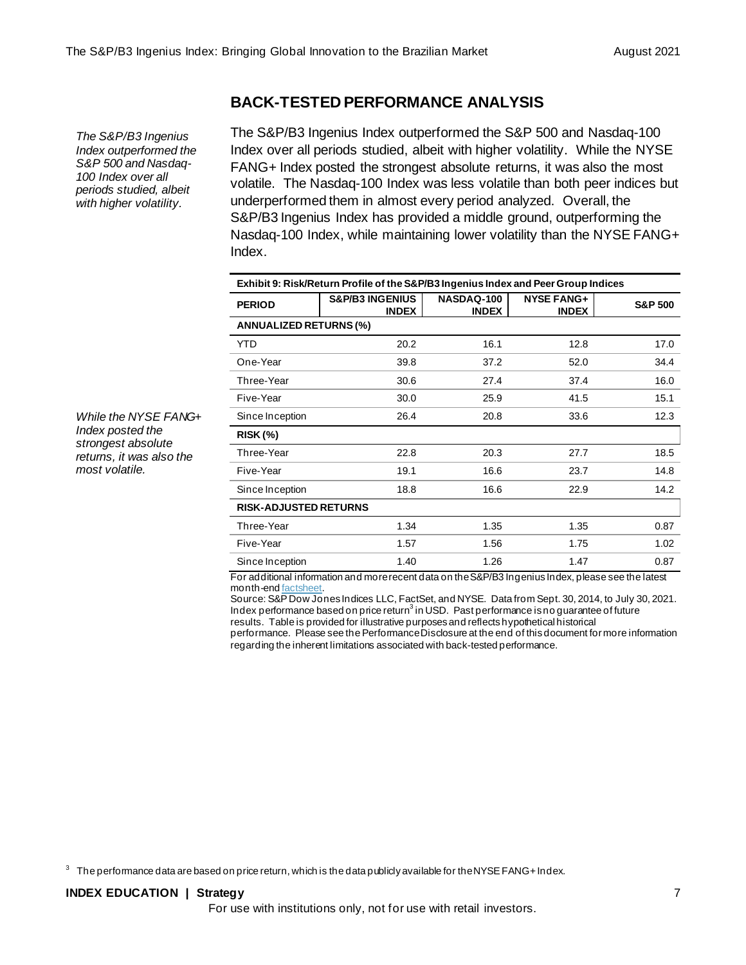### **BACK-TESTED PERFORMANCE ANALYSIS**

*The S&P/B3 Ingenius Index outperformed the S&P 500 and Nasdaq-100 Index over all periods studied, albeit with higher volatility.*

The S&P/B3 Ingenius Index outperformed the S&P 500 and Nasdaq-100 Index over all periods studied, albeit with higher volatility. While the NYSE FANG+ Index posted the strongest absolute returns, it was also the most volatile. The Nasdaq-100 Index was less volatile than both peer indices but underperformed them in almost every period analyzed. Overall, the S&P/B3 Ingenius Index has provided a middle ground, outperforming the Nasdaq-100 Index, while maintaining lower volatility than the NYSE FANG+ Index.

| Exhibit 9: Risk/Return Profile of the S&P/B3 Ingenius Index and Peer Group Indices |                                            |                            |                                   |                    |  |
|------------------------------------------------------------------------------------|--------------------------------------------|----------------------------|-----------------------------------|--------------------|--|
| <b>PERIOD</b>                                                                      | <b>S&amp;P/B3 INGENIUS</b><br><b>INDEX</b> | NASDAQ-100<br><b>INDEX</b> | <b>NYSE FANG+</b><br><b>INDEX</b> | <b>S&amp;P 500</b> |  |
| <b>ANNUALIZED RETURNS (%)</b>                                                      |                                            |                            |                                   |                    |  |
| <b>YTD</b>                                                                         | 20.2                                       | 16.1                       | 12.8                              | 17.0               |  |
| One-Year                                                                           | 39.8                                       | 37.2                       | 52.0                              | 34.4               |  |
| Three-Year                                                                         | 30.6                                       | 27.4                       | 37.4                              | 16.0               |  |
| Five-Year                                                                          | 30.0                                       | 25.9                       | 41.5                              | 15.1               |  |
| Since Inception                                                                    | 26.4                                       | 20.8                       | 33.6                              | 12.3               |  |
| <b>RISK (%)</b>                                                                    |                                            |                            |                                   |                    |  |
| Three-Year                                                                         | 22.8                                       | 20.3                       | 27.7                              | 18.5               |  |
| Five-Year                                                                          | 19.1                                       | 16.6                       | 23.7                              | 14.8               |  |
| Since Inception                                                                    | 18.8                                       | 16.6                       | 22.9                              | 14.2               |  |
| <b>RISK-ADJUSTED RETURNS</b>                                                       |                                            |                            |                                   |                    |  |
| Three-Year                                                                         | 1.34                                       | 1.35                       | 1.35                              | 0.87               |  |
| Five-Year                                                                          | 1.57                                       | 1.56                       | 1.75                              | 1.02               |  |
| Since Inception                                                                    | 1.40                                       | 1.26                       | 1.47                              | 0.87               |  |

For additional information and more recent data on the S&P/B3 Ingenius Index, please see the latest month-en[d factsheet](https://www.spglobal.com/spdji/en/idsenhancedfactsheet/file.pdf?calcFrequency=M&force_download=true&hostIdentifier=48190c8c-42c4-46af-8d1a-0cd5db894797&indexId=92392883).

Source: S&P Dow Jones Indices LLC, FactSet, and NYSE. Data from Sept. 30, 2014, to July 30, 2021. Index performance based on price return $^3$  in USD. Past performance is no guarantee of future results. Table is provided for illustrative purposes and reflects hypothetical historical

performance. Please see the Performance Disclosure at the end of this document for more information regarding the inherent limitations associated with back-tested performance.

 $3$  The performance data are based on price return, which is the data publicly available for the NYSE FANG+ Index.

For use with institutions only, not for use with retail investors.

*While the NYSE FANG+ Index posted the strongest absolute returns, it was also the most volatile.*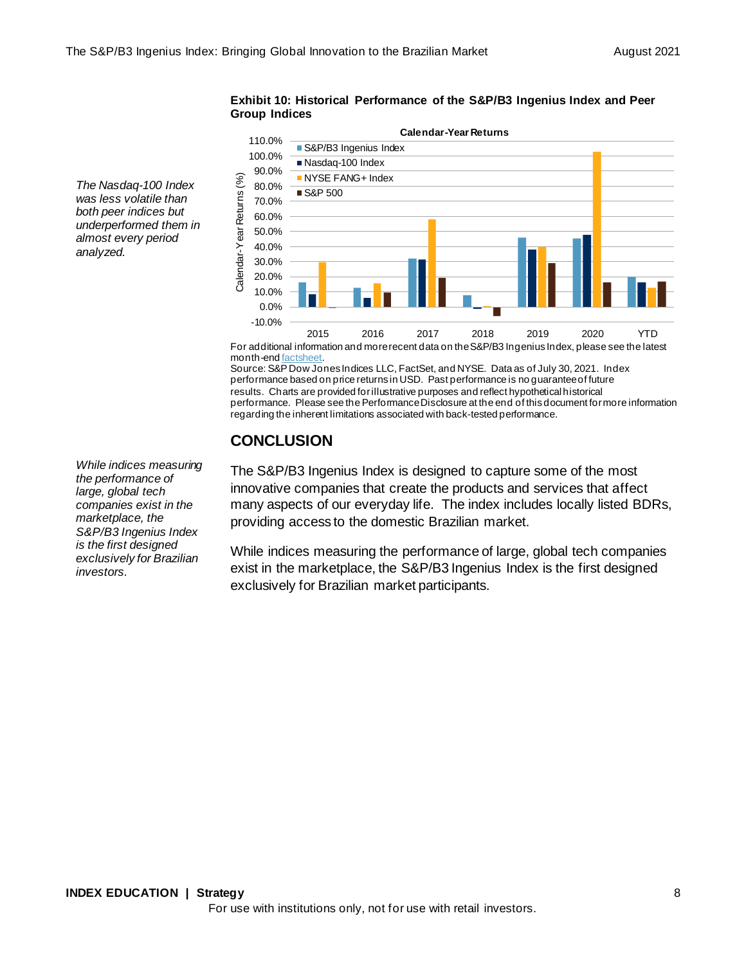The Nasdaq-100 Index  $\frac{36}{2000}$   $\frac{3000}{2000}$   $\frac{3000}{2000}$   $\frac{3000}{2000}$   $\frac{3000}{2000}$   $\frac{3000}{2000}$   $\frac{3000}{2000}$   $\frac{3000}{2000}$   $\frac{3000}{2000}$   $\frac{3000}{2000}$   $\frac{3000}{2000}$   $\frac{3000}{2000}$   $\frac{3000}{2$ *was less volatile than both peer indices but underperformed them in almost every period analyzed.*

**Exhibit 10: Historical Performance of the S&P/B3 Ingenius Index and Peer Group Indices** 90.0% 100.0% 110.0% **Calendar-Year Returns** S&P/B3 Ingenius Index Nasdaq-100 Index



For additional information and more recent data on the S&P/B3 Ingenius Index, please see the latest month-en[d factsheet](https://www.spglobal.com/spdji/en/idsenhancedfactsheet/file.pdf?calcFrequency=M&force_download=true&hostIdentifier=48190c8c-42c4-46af-8d1a-0cd5db894797&indexId=92392883).

Source: S&P Dow Jones Indices LLC, FactSet, and NYSE. Data as of July 30, 2021. Index performance based on price returns in USD. Past performance is no guarantee of future results. Charts are provided for illustrative purposes and reflect hypothetical historical performance. Please see the Performance Disclosure at the end of this document for more information regarding the inherent limitations associated with back-tested performance.

### **CONCLUSION**

The S&P/B3 Ingenius Index is designed to capture some of the most innovative companies that create the products and services that affect many aspects of our everyday life. The index includes locally listed BDRs, providing access to the domestic Brazilian market.

While indices measuring the performance of large, global tech companies exist in the marketplace, the S&P/B3 Ingenius Index is the first designed exclusively for Brazilian market participants.

*While indices measuring the performance of large, global tech companies exist in the marketplace, the S&P/B3 Ingenius Index is the first designed exclusively for Brazilian investors.*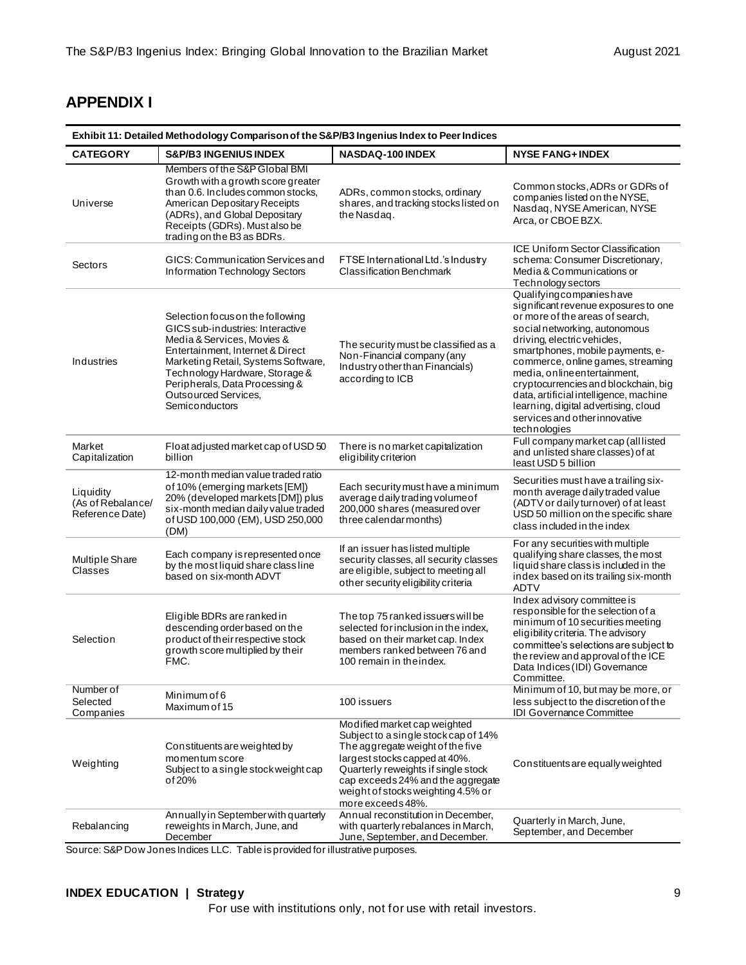### **APPENDIX I**

| Exhibit 11: Detailed Methodology Comparison of the S&P/B3 Ingenius Index to Peer Indices |                                                                                                                                                                                                                                                                                                    |                                                                                                                                                                                                                                                                                  |                                                                                                                                                                                                                                                                                                                                                                                                                                                        |  |  |
|------------------------------------------------------------------------------------------|----------------------------------------------------------------------------------------------------------------------------------------------------------------------------------------------------------------------------------------------------------------------------------------------------|----------------------------------------------------------------------------------------------------------------------------------------------------------------------------------------------------------------------------------------------------------------------------------|--------------------------------------------------------------------------------------------------------------------------------------------------------------------------------------------------------------------------------------------------------------------------------------------------------------------------------------------------------------------------------------------------------------------------------------------------------|--|--|
| <b>CATEGORY</b>                                                                          | <b>S&amp;P/B3 INGENIUS INDEX</b>                                                                                                                                                                                                                                                                   | NASDAQ-100 INDEX                                                                                                                                                                                                                                                                 | <b>NYSE FANG+INDEX</b>                                                                                                                                                                                                                                                                                                                                                                                                                                 |  |  |
| Universe                                                                                 | Members of the S&P Global BMI<br>Growth with a growth score greater<br>than 0.6. Includes common stocks,<br>American Depositary Receipts<br>(ADRs), and Global Depositary<br>Receipts (GDRs). Must also be<br>trading on the B3 as BDRs.                                                           | ADRs, common stocks, ordinary<br>shares, and tracking stocks listed on<br>the Nasdag.                                                                                                                                                                                            | Common stocks, ADRs or GDRs of<br>companies listed on the NYSE,<br>Nasdaq, NYSE American, NYSE<br>Arca, or CBOE BZX.                                                                                                                                                                                                                                                                                                                                   |  |  |
| Sectors                                                                                  | GICS: Communication Services and<br>Information Technology Sectors                                                                                                                                                                                                                                 | FTSE International Ltd.'s Industry<br><b>Classification Benchmark</b>                                                                                                                                                                                                            | <b>ICE Uniform Sector Classification</b><br>schema: Consumer Discretionary,<br>Media & Communications or<br>Technology sectors                                                                                                                                                                                                                                                                                                                         |  |  |
| Industries                                                                               | Selection focus on the following<br>GICS sub-industries: Interactive<br>Media & Services, Movies &<br>Entertainment, Internet & Direct<br>Marketing Retail, Systems Software,<br>Technology Hardware, Storage &<br>Peripherals, Data Processing &<br>Outsourced Services,<br><b>Semiconductors</b> | The security must be classified as a<br>Non-Financial company (any<br>Industry other than Financials)<br>according to ICB                                                                                                                                                        | Qualifyingcompanieshave<br>significant revenue exposures to one<br>or more of the areas of search,<br>social networking, autonomous<br>driving, electric vehicles,<br>smartphones, mobile payments, e-<br>commerce, online games, streaming<br>media, online entertainment,<br>cryptocurrencies and blockchain, big<br>data, artificial intelligence, machine<br>learning, digital advertising, cloud<br>services and other innovative<br>technologies |  |  |
| Market<br>Capitalization                                                                 | Float adjusted market cap of USD 50<br>billion                                                                                                                                                                                                                                                     | There is no market capitalization<br>eligibility criterion                                                                                                                                                                                                                       | Full company market cap (all listed<br>and unlisted share classes) of at<br>least USD 5 billion                                                                                                                                                                                                                                                                                                                                                        |  |  |
| Liquidity<br>(As of Rebalance/<br>Reference Date)                                        | 12-month median value traded ratio<br>of 10% (emerging markets [EM])<br>20% (developed markets [DM]) plus<br>six-month median daily value traded<br>of USD 100,000 (EM), USD 250,000<br>(DM)                                                                                                       | Each security must have a minimum<br>average daily trading volume of<br>200,000 shares (measured over<br>three calendar months)                                                                                                                                                  | Securities must have a trailing six-<br>month average daily traded value<br>(ADTV or daily turnover) of at least<br>USD 50 million on the specific share<br>class included in the index                                                                                                                                                                                                                                                                |  |  |
| Multiple Share<br>Classes                                                                | Each company is represented once<br>by the most liquid share class line<br>based on six-month ADVT                                                                                                                                                                                                 | If an issuer has listed multiple<br>security classes, all security classes<br>are eligible, subject to meeting all<br>other security eligibility criteria                                                                                                                        | For any securities with multiple<br>qualifying share classes, the most<br>liquid share class is included in the<br>index based on its trailing six-month<br><b>ADTV</b>                                                                                                                                                                                                                                                                                |  |  |
| Selection                                                                                | Eligible BDRs are ranked in<br>descending order based on the<br>product of their respective stock<br>growth score multiplied by their<br>FMC.                                                                                                                                                      | The top 75 ranked issuers will be<br>selected for inclusion in the index,<br>based on their market cap. Index<br>members ranked between 76 and<br>100 remain in the index.                                                                                                       | Index advisory committee is<br>responsible for the selection of a<br>minimum of 10 securities meeting<br>eligibility criteria. The advisory<br>committee's selections are subject to<br>the review and approval of the ICE<br>Data Indices (IDI) Governance<br>Committee.                                                                                                                                                                              |  |  |
| Number of<br>Selected<br>Companies                                                       | Minimum of 6<br>Maximum of 15                                                                                                                                                                                                                                                                      | 100 issuers                                                                                                                                                                                                                                                                      | Minimum of 10, but may be more, or<br>less subject to the discretion of the<br>IDI Governance Committee                                                                                                                                                                                                                                                                                                                                                |  |  |
| Weighting                                                                                | Constituents are weighted by<br>momentum score<br>Subject to a single stock weight cap<br>of 20%                                                                                                                                                                                                   | Modified market cap weighted<br>Subject to a single stock cap of 14%<br>The aggregate weight of the five<br>largest stocks capped at 40%.<br>Quarterly reweights if single stock<br>cap exceeds 24% and the aggregate<br>weight of stocks weighting 4.5% or<br>more exceeds 48%. | Constituents are equally weighted                                                                                                                                                                                                                                                                                                                                                                                                                      |  |  |
| Rebalancing                                                                              | Annually in September with quarterly<br>reweights in March, June, and<br>December                                                                                                                                                                                                                  | Annual reconstitution in December.<br>with quarterly rebalances in March,<br>June, September, and December.                                                                                                                                                                      | Quarterly in March, June,<br>September, and December                                                                                                                                                                                                                                                                                                                                                                                                   |  |  |

Source: S&P Dow Jones Indices LLC. Table is provided for illustrative purposes.

### **INDEX EDUCATION | Strategy** 9

For use with institutions only, not for use with retail investors.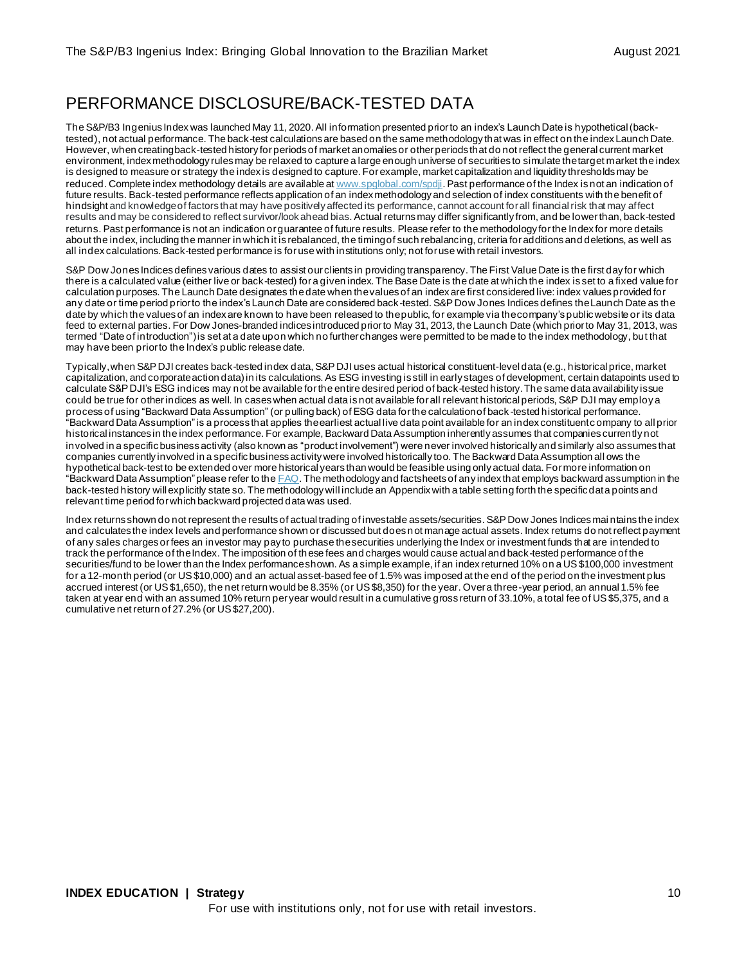### PERFORMANCE DISCLOSURE/BACK-TESTED DATA

The S&P/B3 Ingenius Index was launched May 11, 2020. All information presented prior to an index's Launch Date is hypothetical (backtested), not actual performance. The back-test calculations are based on the same methodology that was in effect on the index Launch Date. However, when creating back-tested history for periods of market anomalies or other periods that do not reflect the general current market environment, index methodology rules may be relaxed to capture a large enough universe of securities to simulate the target market the index is designed to measure or strategy the index is designed to capture. For example, market capitalization and liquidity thresholds may be reduced. Complete index methodology details are available a[t www.spglobal.com/spdji](http://www.spglobal.com/spdji/en?utm_source=pdf_education). Past performance of the Index is not an indication of future results. Back-tested performance reflects application of an index methodology and selection of index constituents with the benefit of hindsight and knowledge of factors that may have positively affected its performance, cannot account for all financial risk that may affect results and may be considered to reflect survivor/look ahead bias. Actual returns may differ significantly from, and be lower than, back-tested returns. Past performance is not an indication or guarantee of future results. Please refer to the methodology for the Index for more details about the index, including the manner in which it is rebalanced, the timing of such rebalancing, criteria for additions and deletions, as well as all index calculations. Back-tested performance is for use with institutions only; not for use with retail investors.

S&P Dow Jones Indices defines various dates to assist our clients in providing transparency. The First Value Date is the first day for which there is a calculated value (either live or back-tested) for a given index. The Base Date is the date at which the index is set to a fixed value for calculation purposes. The Launch Date designates thedate when the values of an index are first considered live: index values provided for any date or time period prior to the index's Launch Date are considered back-tested. S&P Dow Jones Indices defines the Launch Date as the date by which the values of an index are known to have been released to the public, for example via the company's public website or its data feed to external parties. For Dow Jones-branded indices introduced prior to May 31, 2013, the Launch Date (which prior to May 31, 2013, was termed "Date of introduction") is set at a date upon which no further changes were permitted to be made to the index methodology, but that may have been prior to the Index's public release date.

Typically, when S&P DJI creates back-tested index data, S&P DJI uses actual historical constituent-level data (e.g., historical price, market capitalization, and corporate action data) in its calculations. As ESG investing is still in early stages of development, certain datapoints used to calculate S&P DJI's ESG indices may not be available for the entire desired period of back-tested history. The same data availability issue could be true for other indices as well. In cases when actual data is not available for all relevant historical periods, S&P DJI may employ a process of using "Backward Data Assumption" (or pulling back) of ESG data for the calculation of back -tested historical performance. "Backward Data Assumption" is a process that applies the earliest actual live data point available for an index constituent c ompany to all prior historical instances in the index performance. For example, Backward Data Assumption inherently assumes that companies currently not involved in a specific business activity (also known as "product involvement") were never involved historically and similarly also assumes that companies currently involved in a specific business activity were involved historically too. The Backward Data Assumption all ows the hypothetical back-test to be extended over more historical years than would be feasible using only actual data. For more information on "Backward Data Assumption" please refer to th[e FAQ](https://www.spglobal.com/spdji/en/education/article/faq-esg-back-testing-backward-data-assumption-overview/?utm_source=pdf_education). The methodology and factsheets of any index that employs backward assumption in the back-tested history will explicitly state so. The methodology will include an Appendix with a table setting forth the specific data points and relevant time period for which backward projected data was used.

Index returns shown do not represent the results of actual trading of investable assets/securities. S&P Dow Jones Indices mai ntains the index and calculates the index levels and performance shown or discussed but does not manage actual assets. Index returns do not reflect payment of any sales charges or fees an investor may pay to purchase the securities underlying the Index or investment funds that are intended to track the performance of the Index. The imposition of these fees and charges would cause actual and back-tested performance of the securities/fund to be lower than the Index performance shown. As a simple example, if an index returned 10% on a US \$100,000 investment for a 12-month period (or US \$10,000) and an actual asset-based fee of 1.5% was imposed at the end of the period on the investment plus accrued interest (or US \$1,650), the net return would be 8.35% (or US \$8,350) for the year. Over a three-year period, an annual 1.5% fee taken at year end with an assumed 10% return per year would result in a cumulative gross return of 33.10%, a total fee of US \$5,375, and a cumulative net return of 27.2% (or US \$27,200).